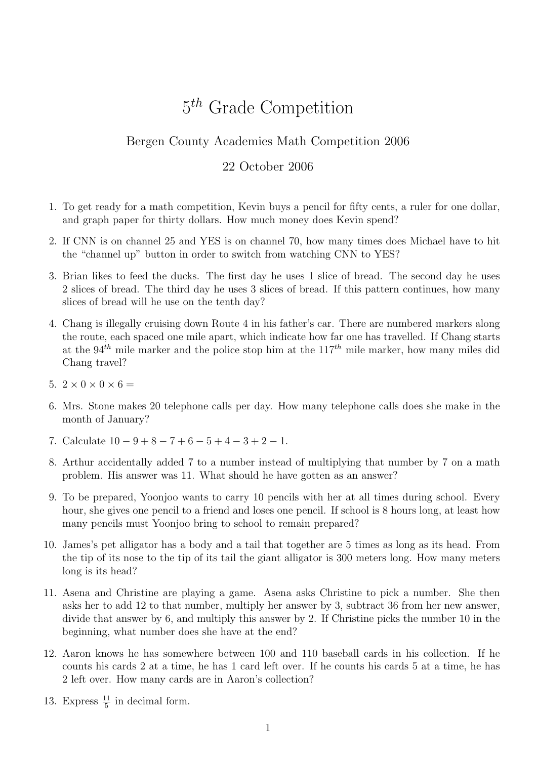## 5<sup>th</sup> Grade Competition

## Bergen County Academies Math Competition 2006

## 22 October 2006

- 1. To get ready for a math competition, Kevin buys a pencil for fifty cents, a ruler for one dollar, and graph paper for thirty dollars. How much money does Kevin spend?
- 2. If CNN is on channel 25 and YES is on channel 70, how many times does Michael have to hit the "channel up" button in order to switch from watching CNN to YES?
- 3. Brian likes to feed the ducks. The first day he uses 1 slice of bread. The second day he uses 2 slices of bread. The third day he uses 3 slices of bread. If this pattern continues, how many slices of bread will he use on the tenth day?
- 4. Chang is illegally cruising down Route 4 in his father's car. There are numbered markers along the route, each spaced one mile apart, which indicate how far one has travelled. If Chang starts at the  $94<sup>th</sup>$  mile marker and the police stop him at the  $117<sup>th</sup>$  mile marker, how many miles did Chang travel?
- 5.  $2 \times 0 \times 0 \times 6 =$
- 6. Mrs. Stone makes 20 telephone calls per day. How many telephone calls does she make in the month of January?
- 7. Calculate  $10 9 + 8 7 + 6 5 + 4 3 + 2 1$ .
- 8. Arthur accidentally added 7 to a number instead of multiplying that number by 7 on a math problem. His answer was 11. What should he have gotten as an answer?
- 9. To be prepared, Yoonjoo wants to carry 10 pencils with her at all times during school. Every hour, she gives one pencil to a friend and loses one pencil. If school is 8 hours long, at least how many pencils must Yoonjoo bring to school to remain prepared?
- 10. James's pet alligator has a body and a tail that together are 5 times as long as its head. From the tip of its nose to the tip of its tail the giant alligator is 300 meters long. How many meters long is its head?
- 11. Asena and Christine are playing a game. Asena asks Christine to pick a number. She then asks her to add 12 to that number, multiply her answer by 3, subtract 36 from her new answer, divide that answer by 6, and multiply this answer by 2. If Christine picks the number 10 in the beginning, what number does she have at the end?
- 12. Aaron knows he has somewhere between 100 and 110 baseball cards in his collection. If he counts his cards 2 at a time, he has 1 card left over. If he counts his cards 5 at a time, he has 2 left over. How many cards are in Aaron's collection?
- 13. Express  $\frac{11}{5}$  in decimal form.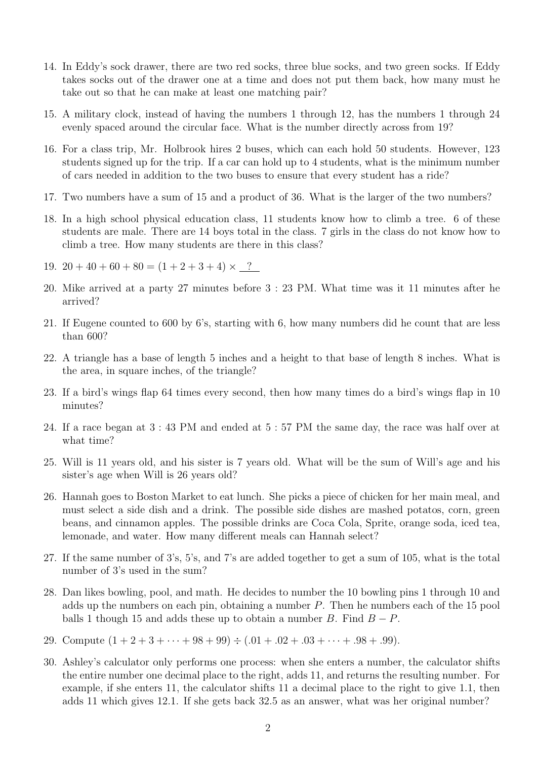- 14. In Eddy's sock drawer, there are two red socks, three blue socks, and two green socks. If Eddy takes socks out of the drawer one at a time and does not put them back, how many must he take out so that he can make at least one matching pair?
- 15. A military clock, instead of having the numbers 1 through 12, has the numbers 1 through 24 evenly spaced around the circular face. What is the number directly across from 19?
- 16. For a class trip, Mr. Holbrook hires 2 buses, which can each hold 50 students. However, 123 students signed up for the trip. If a car can hold up to 4 students, what is the minimum number of cars needed in addition to the two buses to ensure that every student has a ride?
- 17. Two numbers have a sum of 15 and a product of 36. What is the larger of the two numbers?
- 18. In a high school physical education class, 11 students know how to climb a tree. 6 of these students are male. There are 14 boys total in the class. 7 girls in the class do not know how to climb a tree. How many students are there in this class?
- 19.  $20 + 40 + 60 + 80 = (1 + 2 + 3 + 4) \times$  ?
- 20. Mike arrived at a party 27 minutes before 3 : 23 PM. What time was it 11 minutes after he arrived?
- 21. If Eugene counted to 600 by 6's, starting with 6, how many numbers did he count that are less than 600?
- 22. A triangle has a base of length 5 inches and a height to that base of length 8 inches. What is the area, in square inches, of the triangle?
- 23. If a bird's wings flap 64 times every second, then how many times do a bird's wings flap in 10 minutes?
- 24. If a race began at 3 : 43 PM and ended at 5 : 57 PM the same day, the race was half over at what time?
- 25. Will is 11 years old, and his sister is 7 years old. What will be the sum of Will's age and his sister's age when Will is 26 years old?
- 26. Hannah goes to Boston Market to eat lunch. She picks a piece of chicken for her main meal, and must select a side dish and a drink. The possible side dishes are mashed potatos, corn, green beans, and cinnamon apples. The possible drinks are Coca Cola, Sprite, orange soda, iced tea, lemonade, and water. How many different meals can Hannah select?
- 27. If the same number of 3's, 5's, and 7's are added together to get a sum of 105, what is the total number of 3's used in the sum?
- 28. Dan likes bowling, pool, and math. He decides to number the 10 bowling pins 1 through 10 and adds up the numbers on each pin, obtaining a number  $P$ . Then he numbers each of the 15 pool balls 1 though 15 and adds these up to obtain a number B. Find  $B - P$ .
- 29. Compute  $(1 + 2 + 3 + \cdots + 98 + 99) \div (.01 + .02 + .03 + \cdots + .98 + .99)$ .
- 30. Ashley's calculator only performs one process: when she enters a number, the calculator shifts the entire number one decimal place to the right, adds 11, and returns the resulting number. For example, if she enters 11, the calculator shifts 11 a decimal place to the right to give 1.1, then adds 11 which gives 12.1. If she gets back 32.5 as an answer, what was her original number?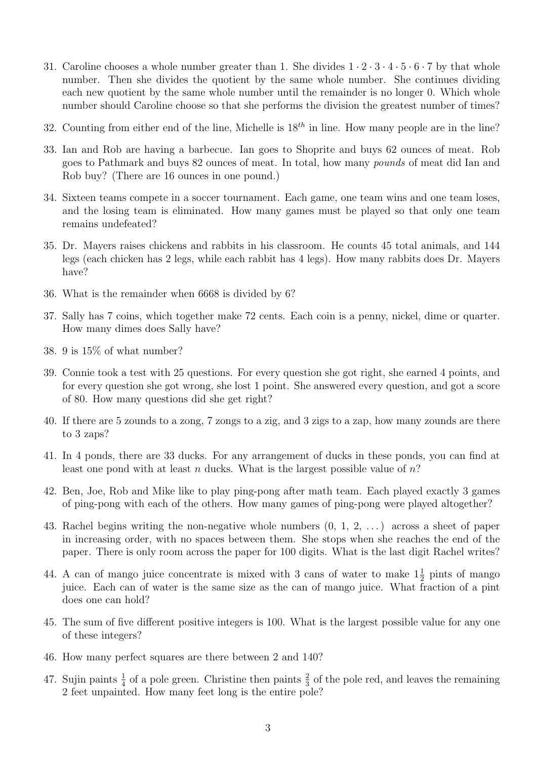- 31. Caroline chooses a whole number greater than 1. She divides  $1 \cdot 2 \cdot 3 \cdot 4 \cdot 5 \cdot 6 \cdot 7$  by that whole number. Then she divides the quotient by the same whole number. She continues dividing each new quotient by the same whole number until the remainder is no longer 0. Which whole number should Caroline choose so that she performs the division the greatest number of times?
- 32. Counting from either end of the line, Michelle is  $18^{th}$  in line. How many people are in the line?
- 33. Ian and Rob are having a barbecue. Ian goes to Shoprite and buys 62 ounces of meat. Rob goes to Pathmark and buys 82 ounces of meat. In total, how many pounds of meat did Ian and Rob buy? (There are 16 ounces in one pound.)
- 34. Sixteen teams compete in a soccer tournament. Each game, one team wins and one team loses, and the losing team is eliminated. How many games must be played so that only one team remains undefeated?
- 35. Dr. Mayers raises chickens and rabbits in his classroom. He counts 45 total animals, and 144 legs (each chicken has 2 legs, while each rabbit has 4 legs). How many rabbits does Dr. Mayers have?
- 36. What is the remainder when 6668 is divided by 6?
- 37. Sally has 7 coins, which together make 72 cents. Each coin is a penny, nickel, dime or quarter. How many dimes does Sally have?
- 38. 9 is 15% of what number?
- 39. Connie took a test with 25 questions. For every question she got right, she earned 4 points, and for every question she got wrong, she lost 1 point. She answered every question, and got a score of 80. How many questions did she get right?
- 40. If there are 5 zounds to a zong, 7 zongs to a zig, and 3 zigs to a zap, how many zounds are there to 3 zaps?
- 41. In 4 ponds, there are 33 ducks. For any arrangement of ducks in these ponds, you can find at least one pond with at least n ducks. What is the largest possible value of  $n$ ?
- 42. Ben, Joe, Rob and Mike like to play ping-pong after math team. Each played exactly 3 games of ping-pong with each of the others. How many games of ping-pong were played altogether?
- 43. Rachel begins writing the non-negative whole numbers (0, 1, 2, . . . ) across a sheet of paper in increasing order, with no spaces between them. She stops when she reaches the end of the paper. There is only room across the paper for 100 digits. What is the last digit Rachel writes?
- 44. A can of mango juice concentrate is mixed with 3 cans of water to make  $1\frac{1}{2}$  pints of mango juice. Each can of water is the same size as the can of mango juice. What fraction of a pint does one can hold?
- 45. The sum of five different positive integers is 100. What is the largest possible value for any one of these integers?
- 46. How many perfect squares are there between 2 and 140?
- 47. Sujin paints  $\frac{1}{4}$  of a pole green. Christine then paints  $\frac{2}{3}$  of the pole red, and leaves the remaining 2 feet unpainted. How many feet long is the entire pole?